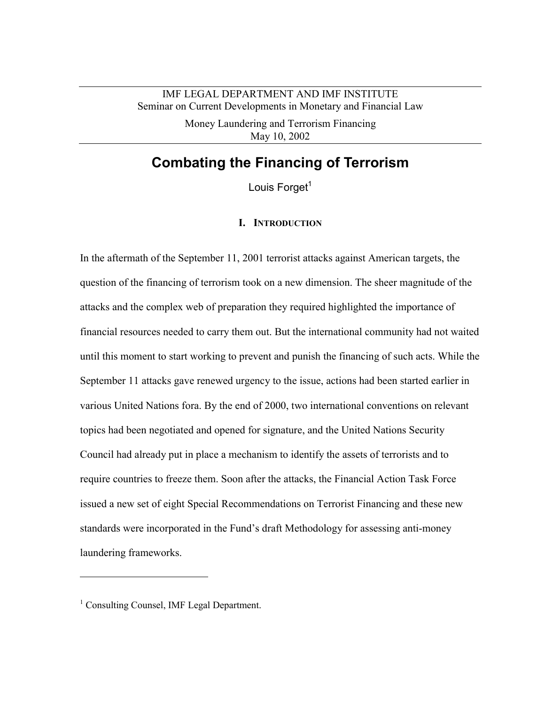IMF LEGAL DEPARTMENT AND IMF INSTITUTE Seminar on Current Developments in Monetary and Financial Law

> Money Laundering and Terrorism Financing May 10, 2002

## **Combating the Financing of Terrorism**

Louis Forget $1$ 

## **I. INTRODUCTION**

In the aftermath of the September 11, 2001 terrorist attacks against American targets, the question of the financing of terrorism took on a new dimension. The sheer magnitude of the attacks and the complex web of preparation they required highlighted the importance of financial resources needed to carry them out. But the international community had not waited until this moment to start working to prevent and punish the financing of such acts. While the September 11 attacks gave renewed urgency to the issue, actions had been started earlier in various United Nations fora. By the end of 2000, two international conventions on relevant topics had been negotiated and opened for signature, and the United Nations Security Council had already put in place a mechanism to identify the assets of terrorists and to require countries to freeze them. Soon after the attacks, the Financial Action Task Force issued a new set of eight Special Recommendations on Terrorist Financing and these new standards were incorporated in the Fund's draft Methodology for assessing anti-money laundering frameworks.

<sup>&</sup>lt;sup>1</sup> Consulting Counsel, IMF Legal Department.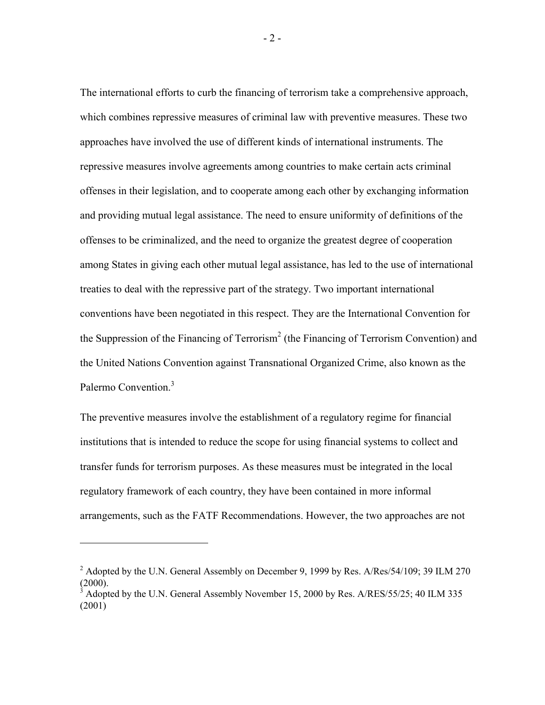The international efforts to curb the financing of terrorism take a comprehensive approach, which combines repressive measures of criminal law with preventive measures. These two approaches have involved the use of different kinds of international instruments. The repressive measures involve agreements among countries to make certain acts criminal offenses in their legislation, and to cooperate among each other by exchanging information and providing mutual legal assistance. The need to ensure uniformity of definitions of the offenses to be criminalized, and the need to organize the greatest degree of cooperation among States in giving each other mutual legal assistance, has led to the use of international treaties to deal with the repressive part of the strategy. Two important international conventions have been negotiated in this respect. They are the International Convention for the Suppression of the Financing of Terrorism<sup>2</sup> (the Financing of Terrorism Convention) and the United Nations Convention against Transnational Organized Crime, also known as the Palermo Convention.<sup>3</sup>

The preventive measures involve the establishment of a regulatory regime for financial institutions that is intended to reduce the scope for using financial systems to collect and transfer funds for terrorism purposes. As these measures must be integrated in the local regulatory framework of each country, they have been contained in more informal arrangements, such as the FATF Recommendations. However, the two approaches are not

<sup>&</sup>lt;sup>2</sup> Adopted by the U.N. General Assembly on December 9, 1999 by Res. A/Res/54/109; 39 ILM 270 (2000).

<sup>3</sup> Adopted by the U.N. General Assembly November 15, 2000 by Res. A/RES/55/25; 40 ILM 335 (2001)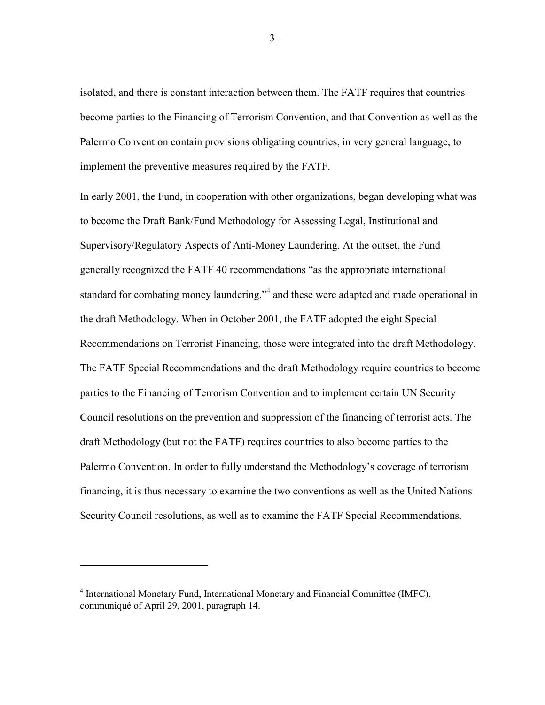isolated, and there is constant interaction between them. The FATF requires that countries become parties to the Financing of Terrorism Convention, and that Convention as well as the Palermo Convention contain provisions obligating countries, in very general language, to implement the preventive measures required by the FATF.

In early 2001, the Fund, in cooperation with other organizations, began developing what was to become the Draft Bank/Fund Methodology for Assessing Legal, Institutional and Supervisory/Regulatory Aspects of Anti-Money Laundering. At the outset, the Fund generally recognized the FATF 40 recommendations "as the appropriate international standard for combating money laundering,"<sup>4</sup> and these were adapted and made operational in the draft Methodology. When in October 2001, the FATF adopted the eight Special Recommendations on Terrorist Financing, those were integrated into the draft Methodology. The FATF Special Recommendations and the draft Methodology require countries to become parties to the Financing of Terrorism Convention and to implement certain UN Security Council resolutions on the prevention and suppression of the financing of terrorist acts. The draft Methodology (but not the FATF) requires countries to also become parties to the Palermo Convention. In order to fully understand the Methodology's coverage of terrorism financing, it is thus necessary to examine the two conventions as well as the United Nations Security Council resolutions, as well as to examine the FATF Special Recommendations.

1

<sup>&</sup>lt;sup>4</sup> International Monetary Fund, International Monetary and Financial Committee (IMFC), communiqué of April 29, 2001, paragraph 14.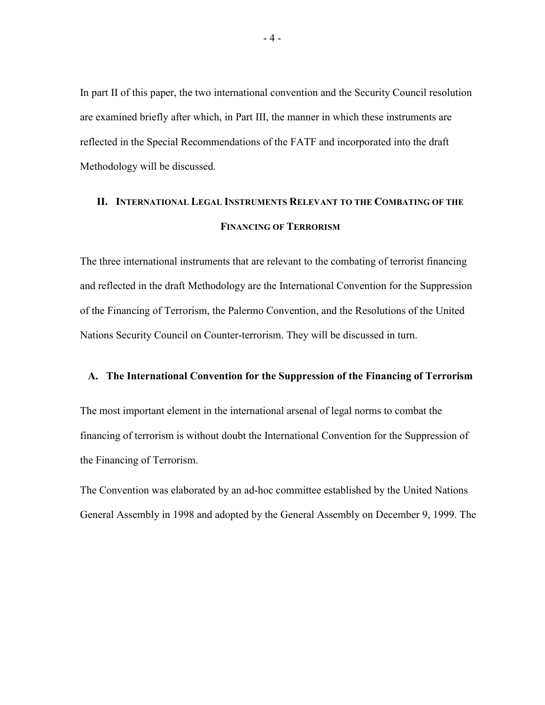In part II of this paper, the two international convention and the Security Council resolution are examined briefly after which, in Part III, the manner in which these instruments are reflected in the Special Recommendations of the FATF and incorporated into the draft Methodology will be discussed.

# **II. INTERNATIONAL LEGAL INSTRUMENTS RELEVANT TO THE COMBATING OF THE FINANCING OF TERRORISM**

The three international instruments that are relevant to the combating of terrorist financing and reflected in the draft Methodology are the International Convention for the Suppression of the Financing of Terrorism, the Palermo Convention, and the Resolutions of the United Nations Security Council on Counter-terrorism. They will be discussed in turn.

#### **A. The International Convention for the Suppression of the Financing of Terrorism**

The most important element in the international arsenal of legal norms to combat the financing of terrorism is without doubt the International Convention for the Suppression of the Financing of Terrorism.

The Convention was elaborated by an ad-hoc committee established by the United Nations General Assembly in 1998 and adopted by the General Assembly on December 9, 1999. The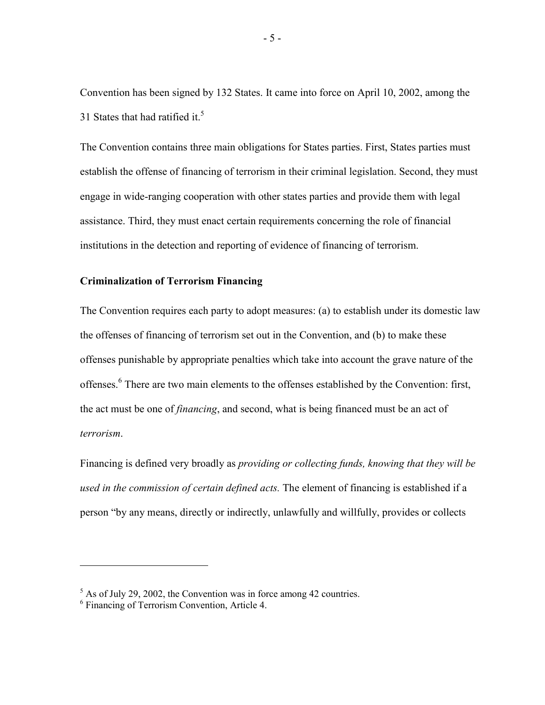Convention has been signed by 132 States. It came into force on April 10, 2002, among the 31 States that had ratified it.<sup>5</sup>

The Convention contains three main obligations for States parties. First, States parties must establish the offense of financing of terrorism in their criminal legislation. Second, they must engage in wide-ranging cooperation with other states parties and provide them with legal assistance. Third, they must enact certain requirements concerning the role of financial institutions in the detection and reporting of evidence of financing of terrorism.

## **Criminalization of Terrorism Financing**

The Convention requires each party to adopt measures: (a) to establish under its domestic law the offenses of financing of terrorism set out in the Convention, and (b) to make these offenses punishable by appropriate penalties which take into account the grave nature of the offenses.<sup>6</sup> There are two main elements to the offenses established by the Convention: first, the act must be one of *financing*, and second, what is being financed must be an act of *terrorism*.

Financing is defined very broadly as *providing or collecting funds, knowing that they will be used in the commission of certain defined acts.* The element of financing is established if a person "by any means, directly or indirectly, unlawfully and willfully, provides or collects

 $<sup>5</sup>$  As of July 29, 2002, the Convention was in force among 42 countries.</sup>

<sup>6</sup> Financing of Terrorism Convention, Article 4.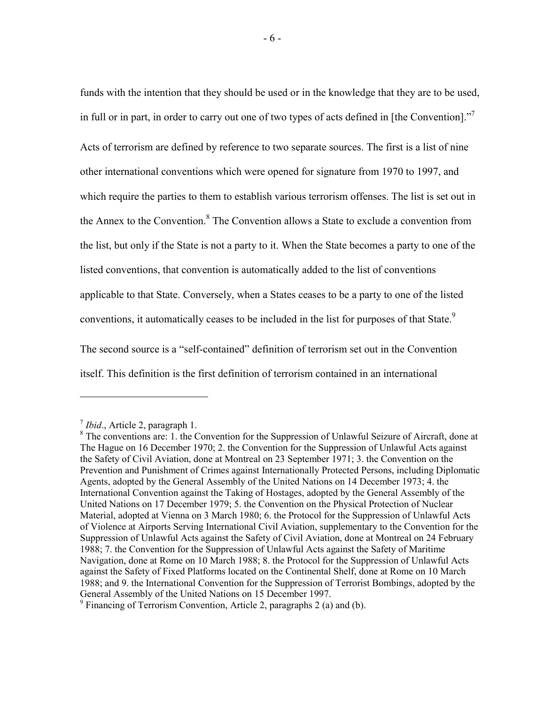funds with the intention that they should be used or in the knowledge that they are to be used, in full or in part, in order to carry out one of two types of acts defined in [the Convention]. $\cdot$ <sup>7</sup>

Acts of terrorism are defined by reference to two separate sources. The first is a list of nine other international conventions which were opened for signature from 1970 to 1997, and which require the parties to them to establish various terrorism offenses. The list is set out in the Annex to the Convention.<sup>8</sup> The Convention allows a State to exclude a convention from the list, but only if the State is not a party to it. When the State becomes a party to one of the listed conventions, that convention is automatically added to the list of conventions applicable to that State. Conversely, when a States ceases to be a party to one of the listed conventions, it automatically ceases to be included in the list for purposes of that State.<sup>9</sup> The second source is a "self-contained" definition of terrorism set out in the Convention itself. This definition is the first definition of terrorism contained in an international

<sup>7</sup> *Ibid*., Article 2, paragraph 1.

<sup>&</sup>lt;sup>8</sup> The conventions are: 1. the Convention for the Suppression of Unlawful Seizure of Aircraft, done at The Hague on 16 December 1970; 2. the Convention for the Suppression of Unlawful Acts against the Safety of Civil Aviation, done at Montreal on 23 September 1971; 3. the Convention on the Prevention and Punishment of Crimes against Internationally Protected Persons, including Diplomatic Agents, adopted by the General Assembly of the United Nations on 14 December 1973; 4. the International Convention against the Taking of Hostages, adopted by the General Assembly of the United Nations on 17 December 1979; 5. the Convention on the Physical Protection of Nuclear Material, adopted at Vienna on 3 March 1980; 6. the Protocol for the Suppression of Unlawful Acts of Violence at Airports Serving International Civil Aviation, supplementary to the Convention for the Suppression of Unlawful Acts against the Safety of Civil Aviation, done at Montreal on 24 February 1988; 7. the Convention for the Suppression of Unlawful Acts against the Safety of Maritime Navigation, done at Rome on 10 March 1988; 8. the Protocol for the Suppression of Unlawful Acts against the Safety of Fixed Platforms located on the Continental Shelf, done at Rome on 10 March 1988; and 9. the International Convention for the Suppression of Terrorist Bombings, adopted by the General Assembly of the United Nations on 15 December 1997.

<sup>&</sup>lt;sup>9</sup> Financing of Terrorism Convention, Article 2, paragraphs 2 (a) and (b).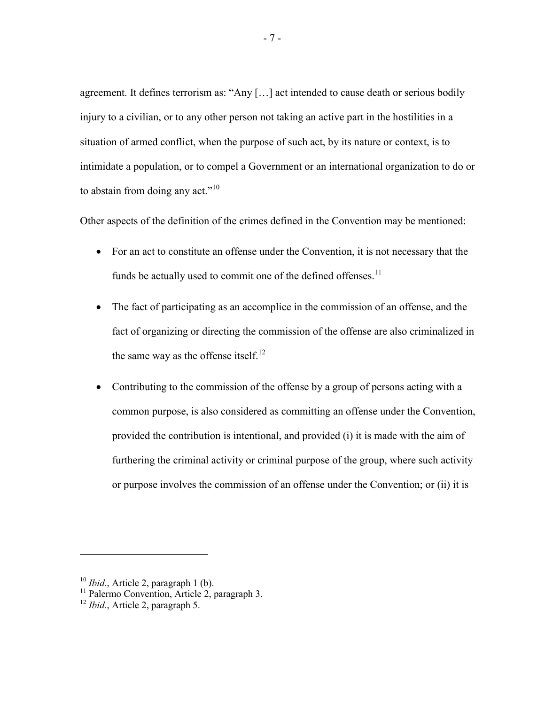agreement. It defines terrorism as: "Any […] act intended to cause death or serious bodily injury to a civilian, or to any other person not taking an active part in the hostilities in a situation of armed conflict, when the purpose of such act, by its nature or context, is to intimidate a population, or to compel a Government or an international organization to do or to abstain from doing any act."<sup>10</sup>

Other aspects of the definition of the crimes defined in the Convention may be mentioned:

- For an act to constitute an offense under the Convention, it is not necessary that the funds be actually used to commit one of the defined offenses.<sup>11</sup>
- The fact of participating as an accomplice in the commission of an offense, and the fact of organizing or directing the commission of the offense are also criminalized in the same way as the offense itself.<sup>12</sup>
- Contributing to the commission of the offense by a group of persons acting with a common purpose, is also considered as committing an offense under the Convention, provided the contribution is intentional, and provided (i) it is made with the aim of furthering the criminal activity or criminal purpose of the group, where such activity or purpose involves the commission of an offense under the Convention; or (ii) it is

<sup>10</sup> *Ibid*., Article 2, paragraph 1 (b).

<sup>&</sup>lt;sup>11</sup> Palermo Convention, Article 2, paragraph 3.

<sup>12</sup> *Ibid*., Article 2, paragraph 5.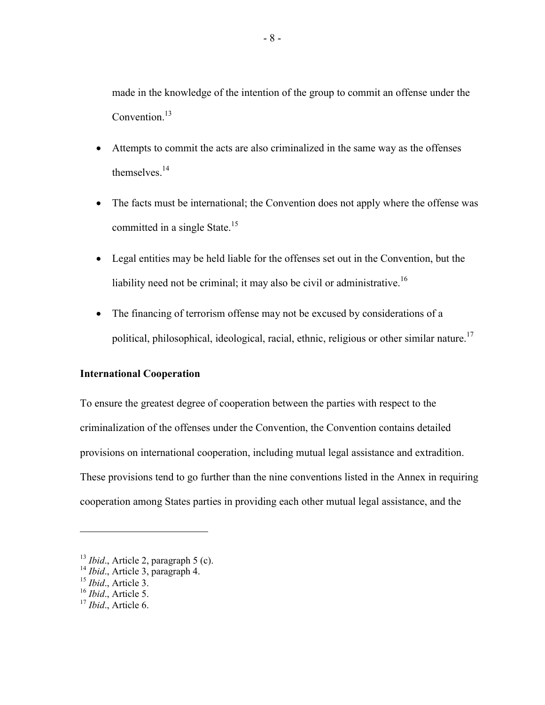made in the knowledge of the intention of the group to commit an offense under the Convention.<sup>13</sup>

- Attempts to commit the acts are also criminalized in the same way as the offenses themselves.<sup>14</sup>
- The facts must be international; the Convention does not apply where the offense was committed in a single State.<sup>15</sup>
- Legal entities may be held liable for the offenses set out in the Convention, but the liability need not be criminal; it may also be civil or administrative.<sup>16</sup>
- The financing of terrorism offense may not be excused by considerations of a political, philosophical, ideological, racial, ethnic, religious or other similar nature.<sup>17</sup>

## **International Cooperation**

To ensure the greatest degree of cooperation between the parties with respect to the criminalization of the offenses under the Convention, the Convention contains detailed provisions on international cooperation, including mutual legal assistance and extradition. These provisions tend to go further than the nine conventions listed in the Annex in requiring cooperation among States parties in providing each other mutual legal assistance, and the

<sup>14</sup> *Ibid.*, Article 3, paragraph 4.

<sup>16</sup> *Ibid*., Article 5.

<u>.</u>

<sup>13</sup> *Ibid*., Article 2, paragraph 5 (c).

<sup>15</sup> *Ibid*., Article 3.

<sup>17</sup> *Ibid*., Article 6.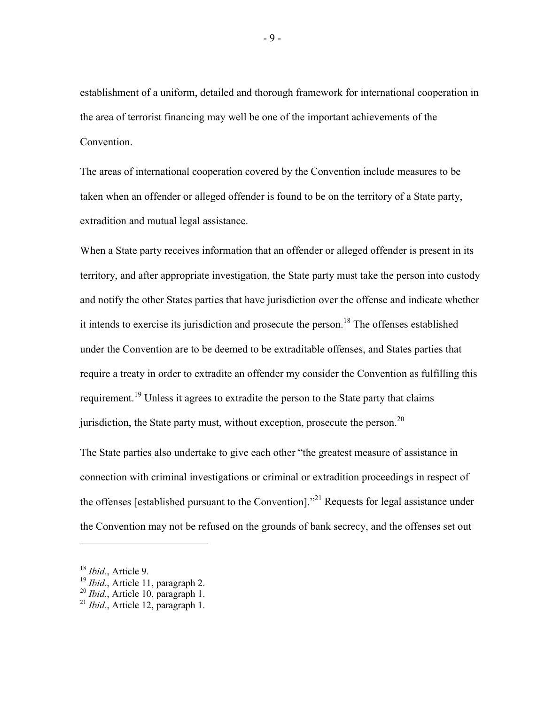establishment of a uniform, detailed and thorough framework for international cooperation in the area of terrorist financing may well be one of the important achievements of the Convention.

The areas of international cooperation covered by the Convention include measures to be taken when an offender or alleged offender is found to be on the territory of a State party, extradition and mutual legal assistance.

When a State party receives information that an offender or alleged offender is present in its territory, and after appropriate investigation, the State party must take the person into custody and notify the other States parties that have jurisdiction over the offense and indicate whether it intends to exercise its jurisdiction and prosecute the person.<sup>18</sup> The offenses established under the Convention are to be deemed to be extraditable offenses, and States parties that require a treaty in order to extradite an offender my consider the Convention as fulfilling this requirement.<sup>19</sup> Unless it agrees to extradite the person to the State party that claims jurisdiction, the State party must, without exception, prosecute the person.<sup>20</sup>

The State parties also undertake to give each other "the greatest measure of assistance in connection with criminal investigations or criminal or extradition proceedings in respect of the offenses [established pursuant to the Convention]."<sup>21</sup> Requests for legal assistance under the Convention may not be refused on the grounds of bank secrecy, and the offenses set out

<sup>18</sup> *Ibid*., Article 9.

<sup>19</sup> *Ibid*., Article 11, paragraph 2.

<sup>20</sup> *Ibid*., Article 10, paragraph 1.

<sup>21</sup> *Ibid*., Article 12, paragraph 1.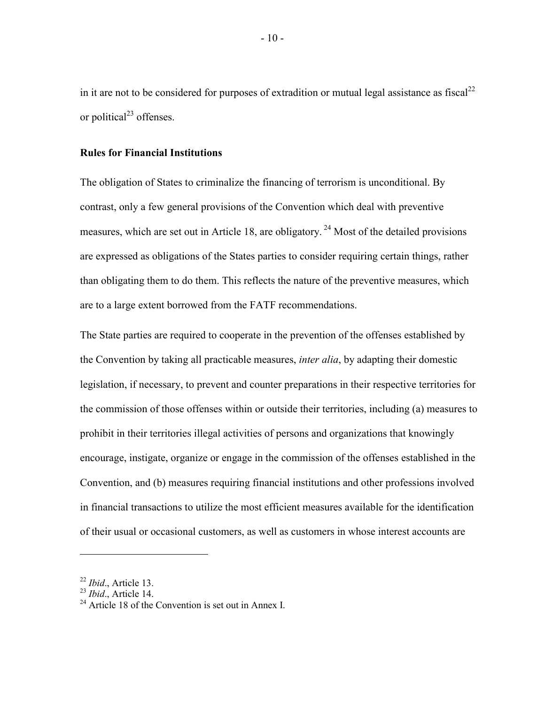in it are not to be considered for purposes of extradition or mutual legal assistance as fiscal<sup>22</sup> or political $^{23}$  offenses.

## **Rules for Financial Institutions**

The obligation of States to criminalize the financing of terrorism is unconditional. By contrast, only a few general provisions of the Convention which deal with preventive measures, which are set out in Article 18, are obligatory.<sup>24</sup> Most of the detailed provisions are expressed as obligations of the States parties to consider requiring certain things, rather than obligating them to do them. This reflects the nature of the preventive measures, which are to a large extent borrowed from the FATF recommendations.

The State parties are required to cooperate in the prevention of the offenses established by the Convention by taking all practicable measures, *inter alia*, by adapting their domestic legislation, if necessary, to prevent and counter preparations in their respective territories for the commission of those offenses within or outside their territories, including (a) measures to prohibit in their territories illegal activities of persons and organizations that knowingly encourage, instigate, organize or engage in the commission of the offenses established in the Convention, and (b) measures requiring financial institutions and other professions involved in financial transactions to utilize the most efficient measures available for the identification of their usual or occasional customers, as well as customers in whose interest accounts are

<sup>22</sup> *Ibid*., Article 13.

<sup>23</sup> *Ibid*., Article 14.

 $24$  Article 18 of the Convention is set out in Annex I.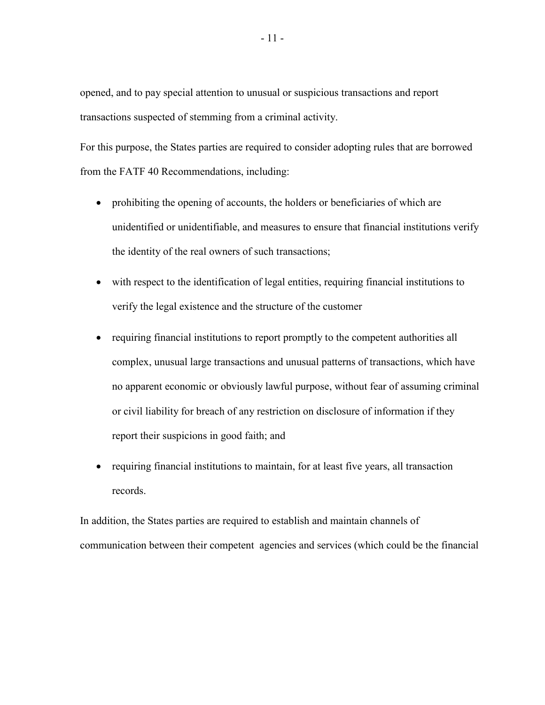opened, and to pay special attention to unusual or suspicious transactions and report transactions suspected of stemming from a criminal activity.

For this purpose, the States parties are required to consider adopting rules that are borrowed from the FATF 40 Recommendations, including:

- prohibiting the opening of accounts, the holders or beneficiaries of which are unidentified or unidentifiable, and measures to ensure that financial institutions verify the identity of the real owners of such transactions;
- with respect to the identification of legal entities, requiring financial institutions to verify the legal existence and the structure of the customer
- requiring financial institutions to report promptly to the competent authorities all complex, unusual large transactions and unusual patterns of transactions, which have no apparent economic or obviously lawful purpose, without fear of assuming criminal or civil liability for breach of any restriction on disclosure of information if they report their suspicions in good faith; and
- requiring financial institutions to maintain, for at least five years, all transaction records.

In addition, the States parties are required to establish and maintain channels of communication between their competent agencies and services (which could be the financial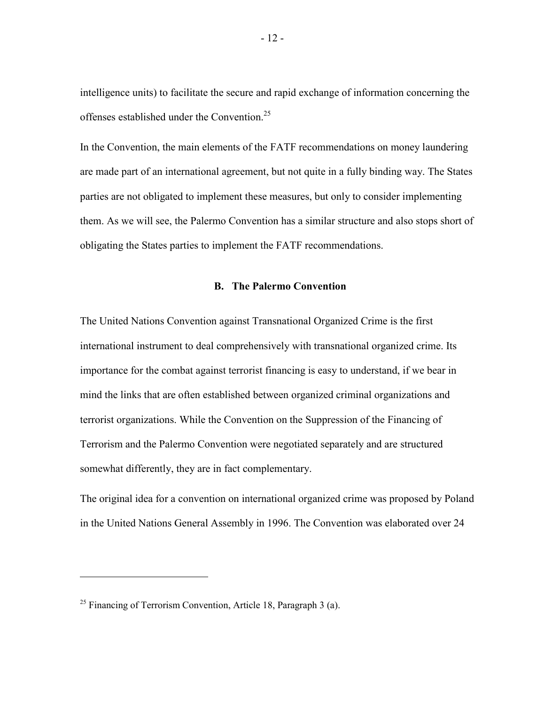intelligence units) to facilitate the secure and rapid exchange of information concerning the offenses established under the Convention.<sup>25</sup>

In the Convention, the main elements of the FATF recommendations on money laundering are made part of an international agreement, but not quite in a fully binding way. The States parties are not obligated to implement these measures, but only to consider implementing them. As we will see, the Palermo Convention has a similar structure and also stops short of obligating the States parties to implement the FATF recommendations.

## **B. The Palermo Convention**

The United Nations Convention against Transnational Organized Crime is the first international instrument to deal comprehensively with transnational organized crime. Its importance for the combat against terrorist financing is easy to understand, if we bear in mind the links that are often established between organized criminal organizations and terrorist organizations. While the Convention on the Suppression of the Financing of Terrorism and the Palermo Convention were negotiated separately and are structured somewhat differently, they are in fact complementary.

The original idea for a convention on international organized crime was proposed by Poland in the United Nations General Assembly in 1996. The Convention was elaborated over 24

<sup>&</sup>lt;sup>25</sup> Financing of Terrorism Convention, Article 18, Paragraph 3 (a).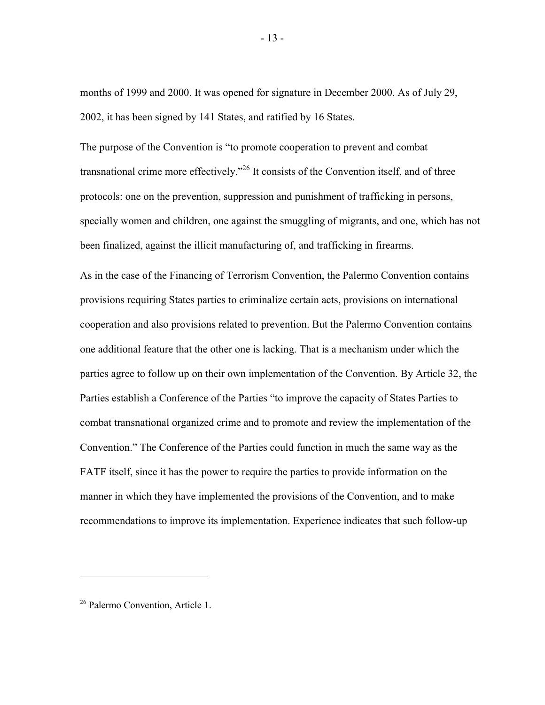months of 1999 and 2000. It was opened for signature in December 2000. As of July 29, 2002, it has been signed by 141 States, and ratified by 16 States.

The purpose of the Convention is "to promote cooperation to prevent and combat transnational crime more effectively.<sup>226</sup> It consists of the Convention itself, and of three protocols: one on the prevention, suppression and punishment of trafficking in persons, specially women and children, one against the smuggling of migrants, and one, which has not been finalized, against the illicit manufacturing of, and trafficking in firearms.

As in the case of the Financing of Terrorism Convention, the Palermo Convention contains provisions requiring States parties to criminalize certain acts, provisions on international cooperation and also provisions related to prevention. But the Palermo Convention contains one additional feature that the other one is lacking. That is a mechanism under which the parties agree to follow up on their own implementation of the Convention. By Article 32, the Parties establish a Conference of the Parties "to improve the capacity of States Parties to combat transnational organized crime and to promote and review the implementation of the Convention." The Conference of the Parties could function in much the same way as the FATF itself, since it has the power to require the parties to provide information on the manner in which they have implemented the provisions of the Convention, and to make recommendations to improve its implementation. Experience indicates that such follow-up

<sup>&</sup>lt;sup>26</sup> Palermo Convention, Article 1.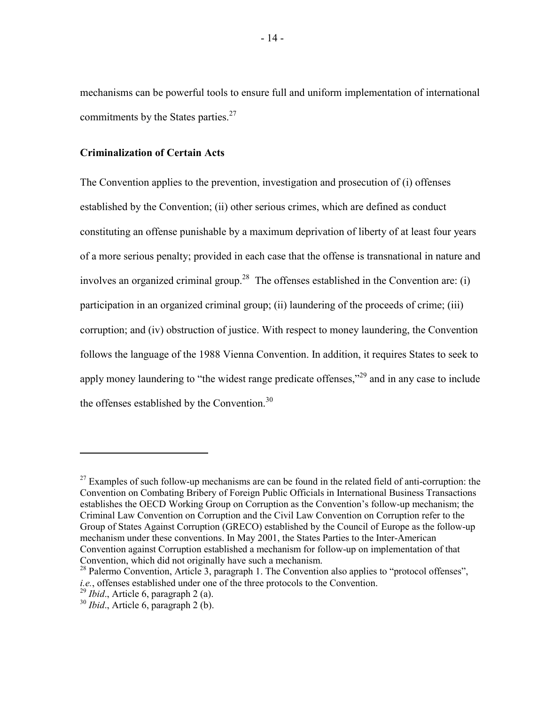mechanisms can be powerful tools to ensure full and uniform implementation of international commitments by the States parties.<sup>27</sup>

## **Criminalization of Certain Acts**

The Convention applies to the prevention, investigation and prosecution of (i) offenses established by the Convention; (ii) other serious crimes, which are defined as conduct constituting an offense punishable by a maximum deprivation of liberty of at least four years of a more serious penalty; provided in each case that the offense is transnational in nature and involves an organized criminal group.<sup>28</sup> The offenses established in the Convention are: (i) participation in an organized criminal group; (ii) laundering of the proceeds of crime; (iii) corruption; and (iv) obstruction of justice. With respect to money laundering, the Convention follows the language of the 1988 Vienna Convention. In addition, it requires States to seek to apply money laundering to "the widest range predicate offenses,"<sup>29</sup> and in any case to include the offenses established by the Convention.<sup>30</sup>

 $27$  Examples of such follow-up mechanisms are can be found in the related field of anti-corruption: the Convention on Combating Bribery of Foreign Public Officials in International Business Transactions establishes the OECD Working Group on Corruption as the Convention's follow-up mechanism; the Criminal Law Convention on Corruption and the Civil Law Convention on Corruption refer to the Group of States Against Corruption (GRECO) established by the Council of Europe as the follow-up mechanism under these conventions. In May 2001, the States Parties to the Inter-American Convention against Corruption established a mechanism for follow-up on implementation of that Convention, which did not originally have such a mechanism.

<sup>&</sup>lt;sup>28</sup> Palermo Convention, Article 3, paragraph 1. The Convention also applies to "protocol offenses", *i.e.*, offenses established under one of the three protocols to the Convention.

<sup>29</sup> *Ibid*., Article 6, paragraph 2 (a).

<sup>30</sup> *Ibid*., Article 6, paragraph 2 (b).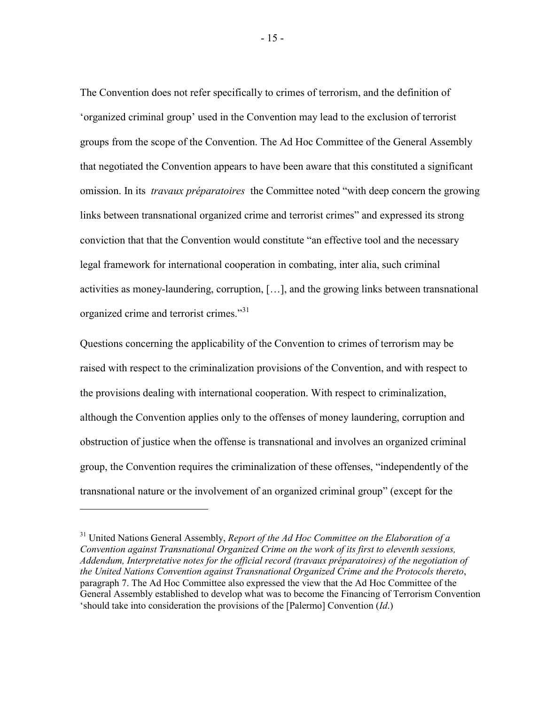The Convention does not refer specifically to crimes of terrorism, and the definition of 'organized criminal group' used in the Convention may lead to the exclusion of terrorist groups from the scope of the Convention. The Ad Hoc Committee of the General Assembly that negotiated the Convention appears to have been aware that this constituted a significant omission. In its *travaux préparatoires* the Committee noted "with deep concern the growing links between transnational organized crime and terrorist crimes" and expressed its strong conviction that that the Convention would constitute "an effective tool and the necessary legal framework for international cooperation in combating, inter alia, such criminal activities as money-laundering, corruption, […], and the growing links between transnational organized crime and terrorist crimes."31

Questions concerning the applicability of the Convention to crimes of terrorism may be raised with respect to the criminalization provisions of the Convention, and with respect to the provisions dealing with international cooperation. With respect to criminalization, although the Convention applies only to the offenses of money laundering, corruption and obstruction of justice when the offense is transnational and involves an organized criminal group, the Convention requires the criminalization of these offenses, "independently of the transnational nature or the involvement of an organized criminal group" (except for the

1

<sup>31</sup> United Nations General Assembly, *Report of the Ad Hoc Committee on the Elaboration of a Convention against Transnational Organized Crime on the work of its first to eleventh sessions, Addendum, Interpretative notes for the official record (travaux préparatoires) of the negotiation of the United Nations Convention against Transnational Organized Crime and the Protocols thereto*, paragraph 7. The Ad Hoc Committee also expressed the view that the Ad Hoc Committee of the General Assembly established to develop what was to become the Financing of Terrorism Convention 'should take into consideration the provisions of the [Palermo] Convention (*Id*.)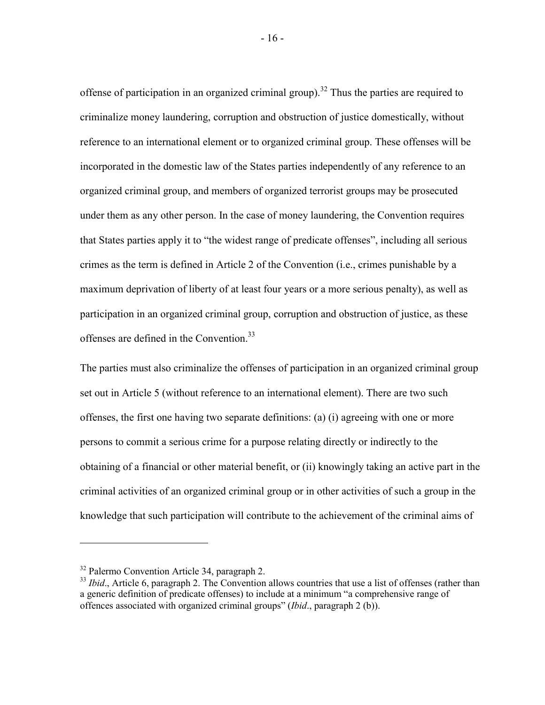offense of participation in an organized criminal group).<sup>32</sup> Thus the parties are required to criminalize money laundering, corruption and obstruction of justice domestically, without reference to an international element or to organized criminal group. These offenses will be incorporated in the domestic law of the States parties independently of any reference to an organized criminal group, and members of organized terrorist groups may be prosecuted under them as any other person. In the case of money laundering, the Convention requires that States parties apply it to "the widest range of predicate offenses", including all serious crimes as the term is defined in Article 2 of the Convention (i.e., crimes punishable by a maximum deprivation of liberty of at least four years or a more serious penalty), as well as participation in an organized criminal group, corruption and obstruction of justice, as these offenses are defined in the Convention.<sup>33</sup>

The parties must also criminalize the offenses of participation in an organized criminal group set out in Article 5 (without reference to an international element). There are two such offenses, the first one having two separate definitions: (a) (i) agreeing with one or more persons to commit a serious crime for a purpose relating directly or indirectly to the obtaining of a financial or other material benefit, or (ii) knowingly taking an active part in the criminal activities of an organized criminal group or in other activities of such a group in the knowledge that such participation will contribute to the achievement of the criminal aims of

<sup>32</sup> Palermo Convention Article 34, paragraph 2.

<sup>&</sup>lt;sup>33</sup> *Ibid.*, Article 6, paragraph 2. The Convention allows countries that use a list of offenses (rather than a generic definition of predicate offenses) to include at a minimum "a comprehensive range of offences associated with organized criminal groups" (*Ibid*., paragraph 2 (b)).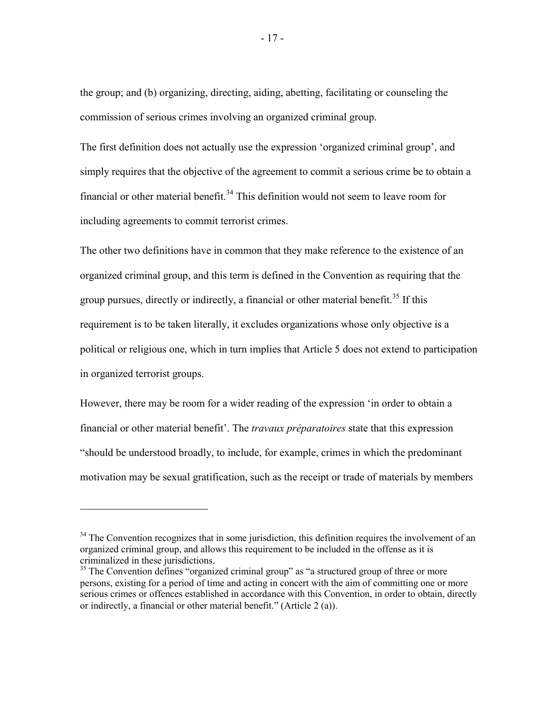the group; and (b) organizing, directing, aiding, abetting, facilitating or counseling the commission of serious crimes involving an organized criminal group.

The first definition does not actually use the expression 'organized criminal group', and simply requires that the objective of the agreement to commit a serious crime be to obtain a financial or other material benefit.<sup>34</sup> This definition would not seem to leave room for including agreements to commit terrorist crimes.

The other two definitions have in common that they make reference to the existence of an organized criminal group, and this term is defined in the Convention as requiring that the group pursues, directly or indirectly, a financial or other material benefit.<sup>35</sup> If this requirement is to be taken literally, it excludes organizations whose only objective is a political or religious one, which in turn implies that Article 5 does not extend to participation in organized terrorist groups.

However, there may be room for a wider reading of the expression 'in order to obtain a financial or other material benefit'. The *travaux préparatoires* state that this expression "should be understood broadly, to include, for example, crimes in which the predominant motivation may be sexual gratification, such as the receipt or trade of materials by members

 $34$  The Convention recognizes that in some jurisdiction, this definition requires the involvement of an organized criminal group, and allows this requirement to be included in the offense as it is criminalized in these jurisdictions.

<sup>&</sup>lt;sup>35</sup> The Convention defines "organized criminal group" as "a structured group of three or more persons, existing for a period of time and acting in concert with the aim of committing one or more serious crimes or offences established in accordance with this Convention, in order to obtain, directly or indirectly, a financial or other material benefit." (Article 2 (a)).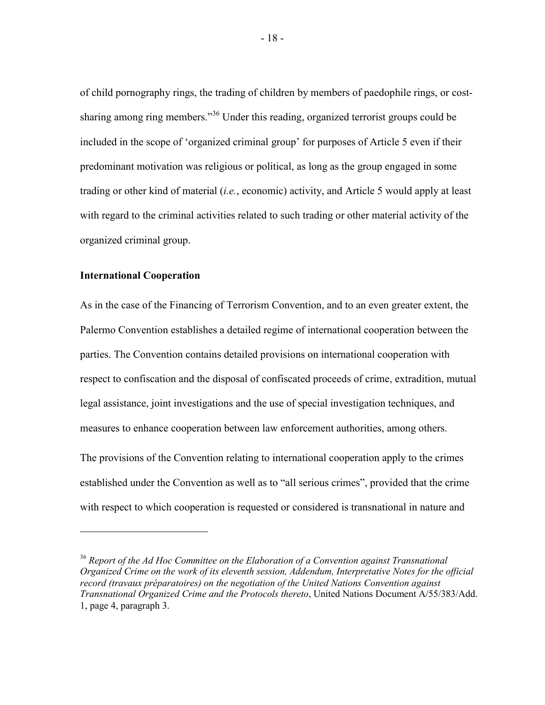of child pornography rings, the trading of children by members of paedophile rings, or costsharing among ring members."<sup>36</sup> Under this reading, organized terrorist groups could be included in the scope of 'organized criminal group' for purposes of Article 5 even if their predominant motivation was religious or political, as long as the group engaged in some trading or other kind of material (*i.e.*, economic) activity, and Article 5 would apply at least with regard to the criminal activities related to such trading or other material activity of the organized criminal group.

#### **International Cooperation**

<u>.</u>

As in the case of the Financing of Terrorism Convention, and to an even greater extent, the Palermo Convention establishes a detailed regime of international cooperation between the parties. The Convention contains detailed provisions on international cooperation with respect to confiscation and the disposal of confiscated proceeds of crime, extradition, mutual legal assistance, joint investigations and the use of special investigation techniques, and measures to enhance cooperation between law enforcement authorities, among others.

The provisions of the Convention relating to international cooperation apply to the crimes established under the Convention as well as to "all serious crimes", provided that the crime with respect to which cooperation is requested or considered is transnational in nature and

<sup>36</sup> *Report of the Ad Hoc Committee on the Elaboration of a Convention against Transnational Organized Crime on the work of its eleventh session, Addendum, Interpretative Notes for the official record (travaux préparatoires) on the negotiation of the United Nations Convention against Transnational Organized Crime and the Protocols thereto*, United Nations Document A/55/383/Add. 1, page 4, paragraph 3.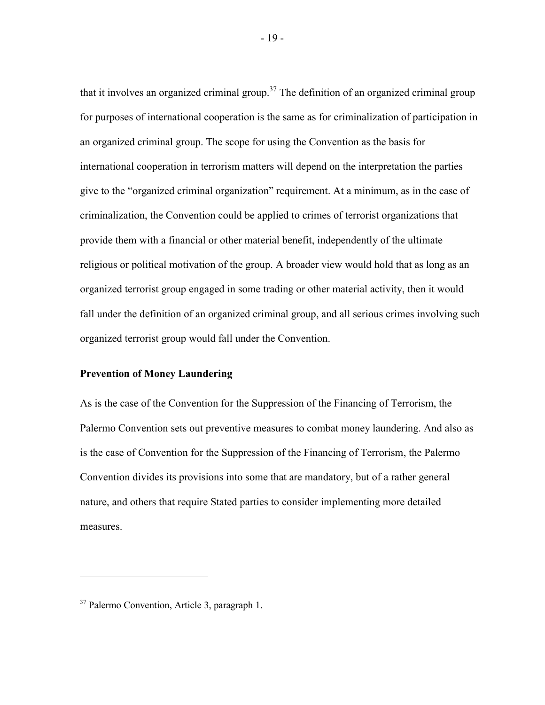that it involves an organized criminal group.<sup>37</sup> The definition of an organized criminal group for purposes of international cooperation is the same as for criminalization of participation in an organized criminal group. The scope for using the Convention as the basis for international cooperation in terrorism matters will depend on the interpretation the parties give to the "organized criminal organization" requirement. At a minimum, as in the case of criminalization, the Convention could be applied to crimes of terrorist organizations that provide them with a financial or other material benefit, independently of the ultimate religious or political motivation of the group. A broader view would hold that as long as an organized terrorist group engaged in some trading or other material activity, then it would fall under the definition of an organized criminal group, and all serious crimes involving such organized terrorist group would fall under the Convention.

### **Prevention of Money Laundering**

As is the case of the Convention for the Suppression of the Financing of Terrorism, the Palermo Convention sets out preventive measures to combat money laundering. And also as is the case of Convention for the Suppression of the Financing of Terrorism, the Palermo Convention divides its provisions into some that are mandatory, but of a rather general nature, and others that require Stated parties to consider implementing more detailed measures.

<sup>37</sup> Palermo Convention, Article 3, paragraph 1.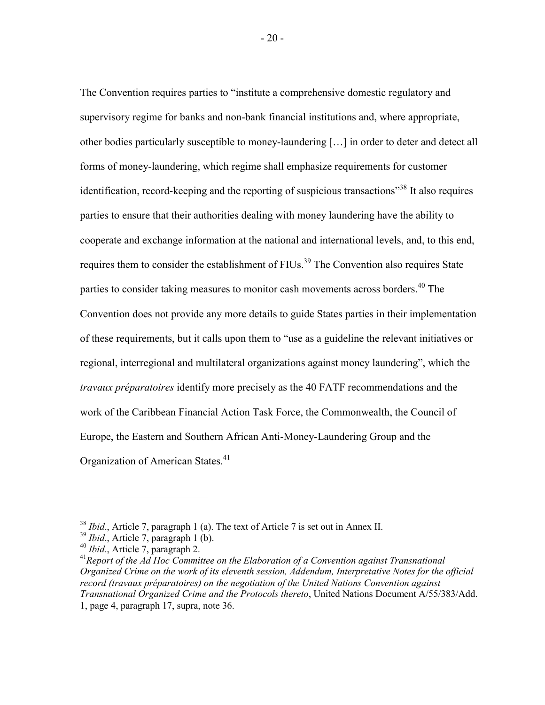The Convention requires parties to "institute a comprehensive domestic regulatory and supervisory regime for banks and non-bank financial institutions and, where appropriate, other bodies particularly susceptible to money-laundering […] in order to deter and detect all forms of money-laundering, which regime shall emphasize requirements for customer identification, record-keeping and the reporting of suspicious transactions<sup>338</sup> It also requires parties to ensure that their authorities dealing with money laundering have the ability to cooperate and exchange information at the national and international levels, and, to this end, requires them to consider the establishment of FIUs.<sup>39</sup> The Convention also requires State parties to consider taking measures to monitor cash movements across borders.<sup>40</sup> The Convention does not provide any more details to guide States parties in their implementation of these requirements, but it calls upon them to "use as a guideline the relevant initiatives or regional, interregional and multilateral organizations against money laundering", which the *travaux préparatoires* identify more precisely as the 40 FATF recommendations and the work of the Caribbean Financial Action Task Force, the Commonwealth, the Council of Europe, the Eastern and Southern African Anti-Money-Laundering Group and the Organization of American States.<sup>41</sup>

<sup>38</sup> *Ibid*., Article 7, paragraph 1 (a). The text of Article 7 is set out in Annex II.

<sup>39</sup> *Ibid*., Article 7, paragraph 1 (b).

<sup>40</sup> *Ibid*., Article 7, paragraph 2.

<sup>41</sup>*Report of the Ad Hoc Committee on the Elaboration of a Convention against Transnational Organized Crime on the work of its eleventh session, Addendum, Interpretative Notes for the official record (travaux préparatoires) on the negotiation of the United Nations Convention against Transnational Organized Crime and the Protocols thereto*, United Nations Document A/55/383/Add. 1, page 4, paragraph 17, supra, note 36.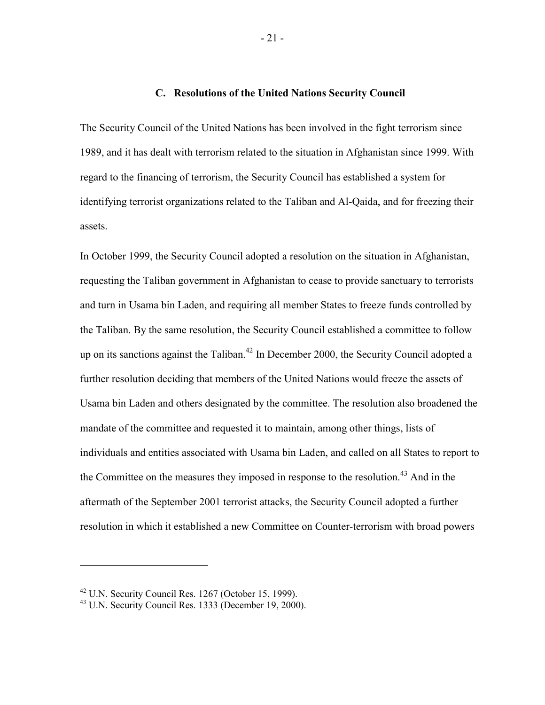#### **C. Resolutions of the United Nations Security Council**

The Security Council of the United Nations has been involved in the fight terrorism since 1989, and it has dealt with terrorism related to the situation in Afghanistan since 1999. With regard to the financing of terrorism, the Security Council has established a system for identifying terrorist organizations related to the Taliban and Al-Qaida, and for freezing their assets.

In October 1999, the Security Council adopted a resolution on the situation in Afghanistan, requesting the Taliban government in Afghanistan to cease to provide sanctuary to terrorists and turn in Usama bin Laden, and requiring all member States to freeze funds controlled by the Taliban. By the same resolution, the Security Council established a committee to follow up on its sanctions against the Taliban.<sup>42</sup> In December 2000, the Security Council adopted a further resolution deciding that members of the United Nations would freeze the assets of Usama bin Laden and others designated by the committee. The resolution also broadened the mandate of the committee and requested it to maintain, among other things, lists of individuals and entities associated with Usama bin Laden, and called on all States to report to the Committee on the measures they imposed in response to the resolution.<sup>43</sup> And in the aftermath of the September 2001 terrorist attacks, the Security Council adopted a further resolution in which it established a new Committee on Counter-terrorism with broad powers

1

<sup>42</sup> U.N. Security Council Res. 1267 (October 15, 1999).

<sup>43</sup> U.N. Security Council Res. 1333 (December 19, 2000).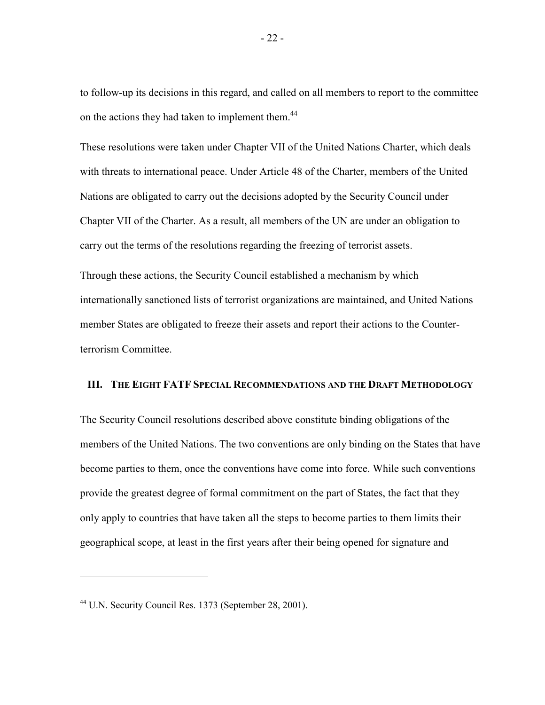to follow-up its decisions in this regard, and called on all members to report to the committee on the actions they had taken to implement them.<sup>44</sup>

These resolutions were taken under Chapter VII of the United Nations Charter, which deals with threats to international peace. Under Article 48 of the Charter, members of the United Nations are obligated to carry out the decisions adopted by the Security Council under Chapter VII of the Charter. As a result, all members of the UN are under an obligation to carry out the terms of the resolutions regarding the freezing of terrorist assets.

Through these actions, the Security Council established a mechanism by which internationally sanctioned lists of terrorist organizations are maintained, and United Nations member States are obligated to freeze their assets and report their actions to the Counterterrorism Committee.

### **III. THE EIGHT FATF SPECIAL RECOMMENDATIONS AND THE DRAFT METHODOLOGY**

The Security Council resolutions described above constitute binding obligations of the members of the United Nations. The two conventions are only binding on the States that have become parties to them, once the conventions have come into force. While such conventions provide the greatest degree of formal commitment on the part of States, the fact that they only apply to countries that have taken all the steps to become parties to them limits their geographical scope, at least in the first years after their being opened for signature and

<sup>44</sup> U.N. Security Council Res. 1373 (September 28, 2001).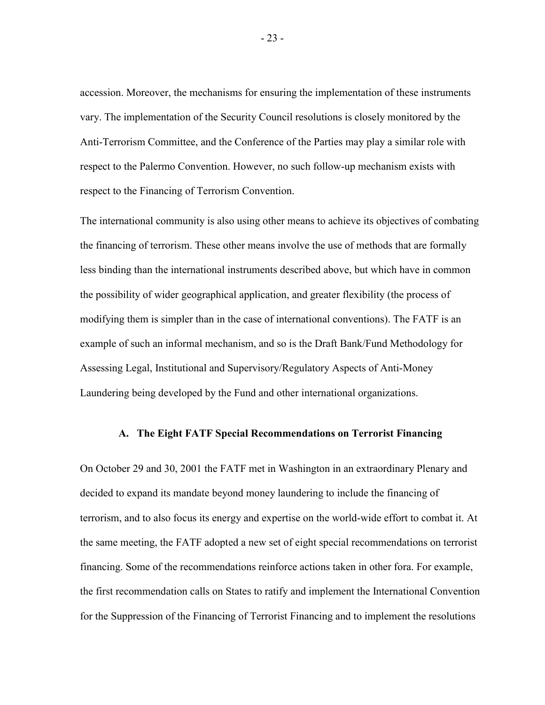accession. Moreover, the mechanisms for ensuring the implementation of these instruments vary. The implementation of the Security Council resolutions is closely monitored by the Anti-Terrorism Committee, and the Conference of the Parties may play a similar role with respect to the Palermo Convention. However, no such follow-up mechanism exists with respect to the Financing of Terrorism Convention.

The international community is also using other means to achieve its objectives of combating the financing of terrorism. These other means involve the use of methods that are formally less binding than the international instruments described above, but which have in common the possibility of wider geographical application, and greater flexibility (the process of modifying them is simpler than in the case of international conventions). The FATF is an example of such an informal mechanism, and so is the Draft Bank/Fund Methodology for Assessing Legal, Institutional and Supervisory/Regulatory Aspects of Anti-Money Laundering being developed by the Fund and other international organizations.

#### **A. The Eight FATF Special Recommendations on Terrorist Financing**

On October 29 and 30, 2001 the FATF met in Washington in an extraordinary Plenary and decided to expand its mandate beyond money laundering to include the financing of terrorism, and to also focus its energy and expertise on the world-wide effort to combat it. At the same meeting, the FATF adopted a new set of eight special recommendations on terrorist financing. Some of the recommendations reinforce actions taken in other fora. For example, the first recommendation calls on States to ratify and implement the International Convention for the Suppression of the Financing of Terrorist Financing and to implement the resolutions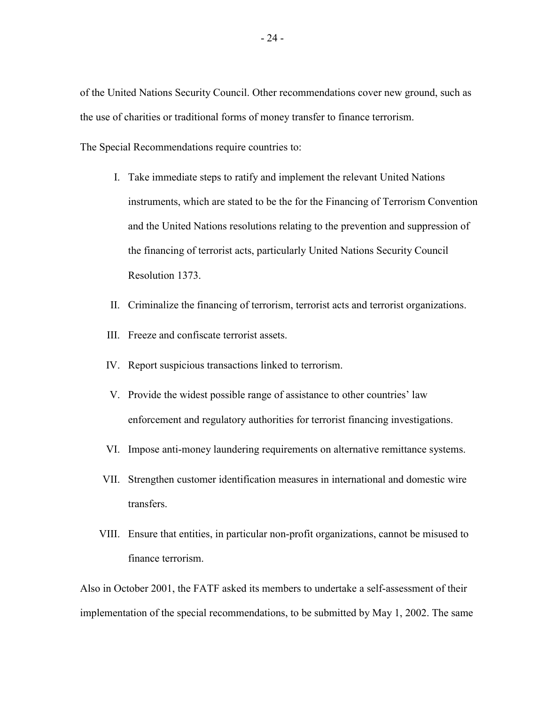of the United Nations Security Council. Other recommendations cover new ground, such as the use of charities or traditional forms of money transfer to finance terrorism.

The Special Recommendations require countries to:

- I. Take immediate steps to ratify and implement the relevant United Nations instruments, which are stated to be the for the Financing of Terrorism Convention and the United Nations resolutions relating to the prevention and suppression of the financing of terrorist acts, particularly United Nations Security Council Resolution 1373.
- II. Criminalize the financing of terrorism, terrorist acts and terrorist organizations.
- III. Freeze and confiscate terrorist assets.
- IV. Report suspicious transactions linked to terrorism.
- V. Provide the widest possible range of assistance to other countries' law enforcement and regulatory authorities for terrorist financing investigations.
- VI. Impose anti-money laundering requirements on alternative remittance systems.
- VII. Strengthen customer identification measures in international and domestic wire transfers.
- VIII. Ensure that entities, in particular non-profit organizations, cannot be misused to finance terrorism.

Also in October 2001, the FATF asked its members to undertake a self-assessment of their implementation of the special recommendations, to be submitted by May 1, 2002. The same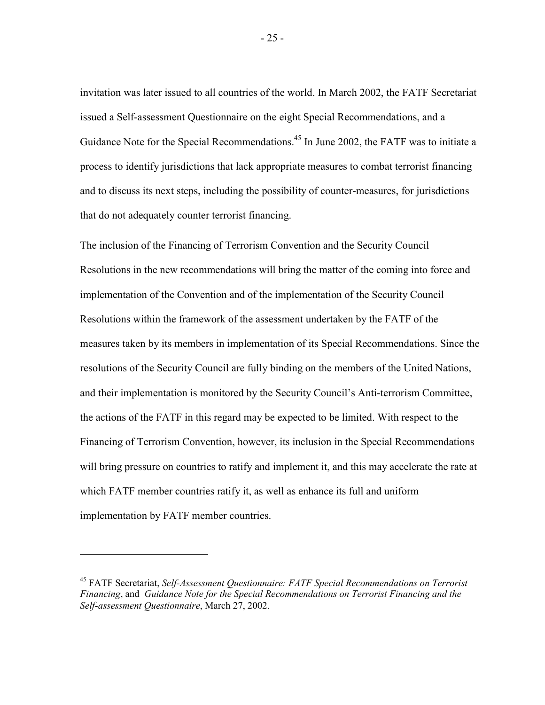invitation was later issued to all countries of the world. In March 2002, the FATF Secretariat issued a Self-assessment Questionnaire on the eight Special Recommendations, and a Guidance Note for the Special Recommendations.<sup>45</sup> In June 2002, the FATF was to initiate a process to identify jurisdictions that lack appropriate measures to combat terrorist financing and to discuss its next steps, including the possibility of counter-measures, for jurisdictions that do not adequately counter terrorist financing.

The inclusion of the Financing of Terrorism Convention and the Security Council Resolutions in the new recommendations will bring the matter of the coming into force and implementation of the Convention and of the implementation of the Security Council Resolutions within the framework of the assessment undertaken by the FATF of the measures taken by its members in implementation of its Special Recommendations. Since the resolutions of the Security Council are fully binding on the members of the United Nations, and their implementation is monitored by the Security Council's Anti-terrorism Committee, the actions of the FATF in this regard may be expected to be limited. With respect to the Financing of Terrorism Convention, however, its inclusion in the Special Recommendations will bring pressure on countries to ratify and implement it, and this may accelerate the rate at which FATF member countries ratify it, as well as enhance its full and uniform implementation by FATF member countries.

<sup>45</sup> FATF Secretariat, *Self-Assessment Questionnaire: FATF Special Recommendations on Terrorist Financing*, and *Guidance Note for the Special Recommendations on Terrorist Financing and the Self-assessment Questionnaire*, March 27, 2002.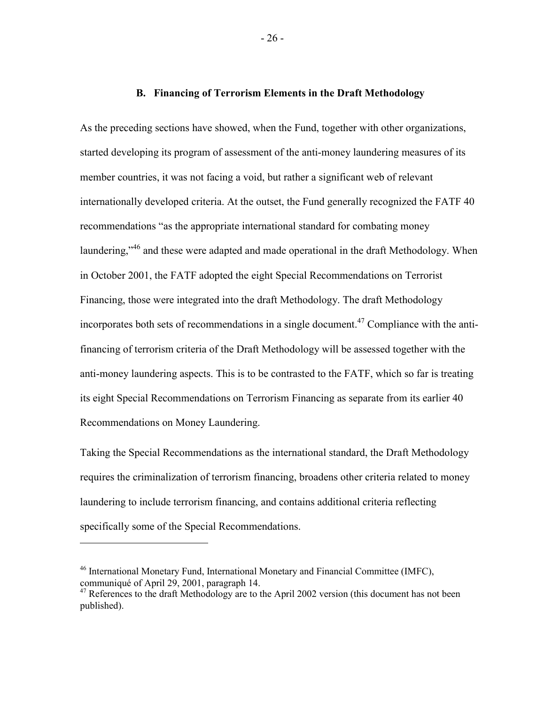#### **B. Financing of Terrorism Elements in the Draft Methodology**

As the preceding sections have showed, when the Fund, together with other organizations, started developing its program of assessment of the anti-money laundering measures of its member countries, it was not facing a void, but rather a significant web of relevant internationally developed criteria. At the outset, the Fund generally recognized the FATF 40 recommendations "as the appropriate international standard for combating money laundering,<sup>346</sup> and these were adapted and made operational in the draft Methodology. When in October 2001, the FATF adopted the eight Special Recommendations on Terrorist Financing, those were integrated into the draft Methodology. The draft Methodology incorporates both sets of recommendations in a single document.<sup>47</sup> Compliance with the antifinancing of terrorism criteria of the Draft Methodology will be assessed together with the anti-money laundering aspects. This is to be contrasted to the FATF, which so far is treating its eight Special Recommendations on Terrorism Financing as separate from its earlier 40 Recommendations on Money Laundering.

Taking the Special Recommendations as the international standard, the Draft Methodology requires the criminalization of terrorism financing, broadens other criteria related to money laundering to include terrorism financing, and contains additional criteria reflecting specifically some of the Special Recommendations.

1

<sup>46</sup> International Monetary Fund, International Monetary and Financial Committee (IMFC), communiqué of April 29, 2001, paragraph 14.

 $47$  References to the draft Methodology are to the April 2002 version (this document has not been published).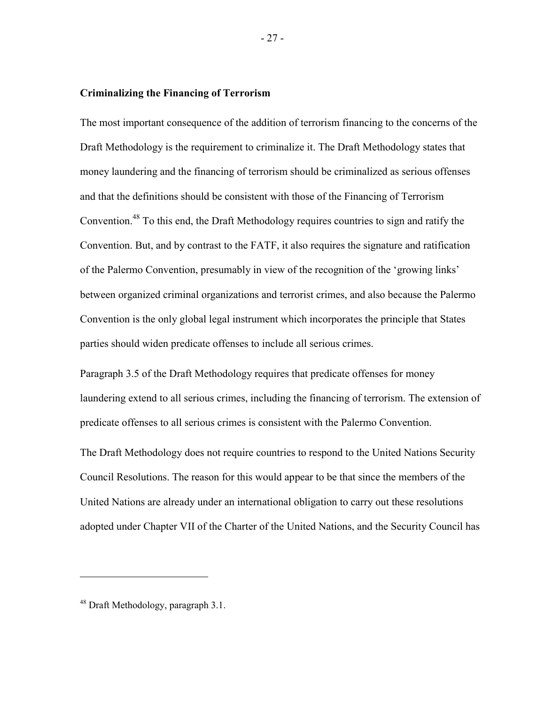#### **Criminalizing the Financing of Terrorism**

The most important consequence of the addition of terrorism financing to the concerns of the Draft Methodology is the requirement to criminalize it. The Draft Methodology states that money laundering and the financing of terrorism should be criminalized as serious offenses and that the definitions should be consistent with those of the Financing of Terrorism Convention.<sup>48</sup> To this end, the Draft Methodology requires countries to sign and ratify the Convention. But, and by contrast to the FATF, it also requires the signature and ratification of the Palermo Convention, presumably in view of the recognition of the 'growing links' between organized criminal organizations and terrorist crimes, and also because the Palermo Convention is the only global legal instrument which incorporates the principle that States parties should widen predicate offenses to include all serious crimes.

Paragraph 3.5 of the Draft Methodology requires that predicate offenses for money laundering extend to all serious crimes, including the financing of terrorism. The extension of predicate offenses to all serious crimes is consistent with the Palermo Convention.

The Draft Methodology does not require countries to respond to the United Nations Security Council Resolutions. The reason for this would appear to be that since the members of the United Nations are already under an international obligation to carry out these resolutions adopted under Chapter VII of the Charter of the United Nations, and the Security Council has

<sup>48</sup> Draft Methodology, paragraph 3.1.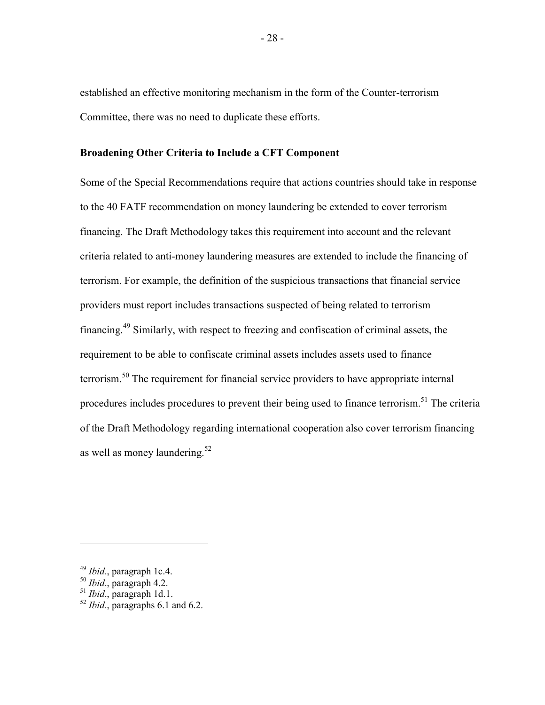established an effective monitoring mechanism in the form of the Counter-terrorism Committee, there was no need to duplicate these efforts.

## **Broadening Other Criteria to Include a CFT Component**

Some of the Special Recommendations require that actions countries should take in response to the 40 FATF recommendation on money laundering be extended to cover terrorism financing. The Draft Methodology takes this requirement into account and the relevant criteria related to anti-money laundering measures are extended to include the financing of terrorism. For example, the definition of the suspicious transactions that financial service providers must report includes transactions suspected of being related to terrorism financing.49 Similarly, with respect to freezing and confiscation of criminal assets, the requirement to be able to confiscate criminal assets includes assets used to finance terrorism.<sup>50</sup> The requirement for financial service providers to have appropriate internal procedures includes procedures to prevent their being used to finance terrorism.<sup>51</sup> The criteria of the Draft Methodology regarding international cooperation also cover terrorism financing as well as money laundering.<sup>52</sup>

1

<sup>49</sup> *Ibid*., paragraph 1c.4.

<sup>50</sup> *Ibid*., paragraph 4.2.

<sup>51</sup> *Ibid*., paragraph 1d.1.

<sup>52</sup> *Ibid*., paragraphs 6.1 and 6.2.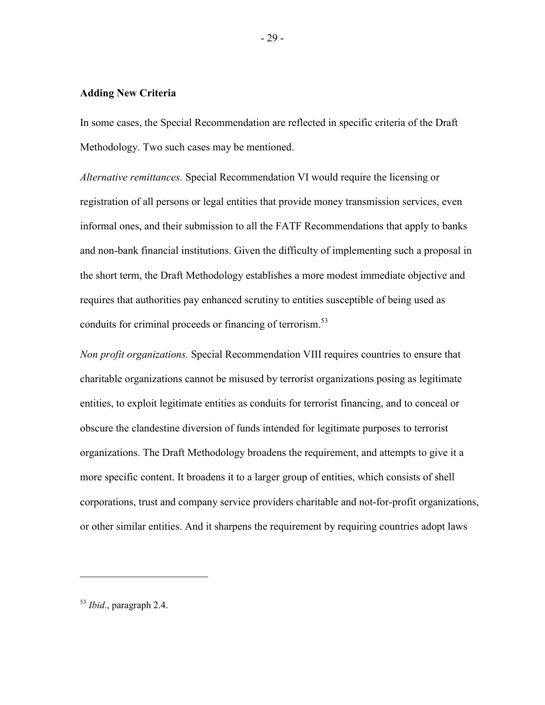## **Adding New Criteria**

In some cases, the Special Recommendation are reflected in specific criteria of the Draft Methodology. Two such cases may be mentioned.

*Alternative remittances.* Special Recommendation VI would require the licensing or registration of all persons or legal entities that provide money transmission services, even informal ones, and their submission to all the FATF Recommendations that apply to banks and non-bank financial institutions. Given the difficulty of implementing such a proposal in the short term, the Draft Methodology establishes a more modest immediate objective and requires that authorities pay enhanced scrutiny to entities susceptible of being used as conduits for criminal proceeds or financing of terrorism.<sup>53</sup>

*Non profit organizations.* Special Recommendation VIII requires countries to ensure that charitable organizations cannot be misused by terrorist organizations posing as legitimate entities, to exploit legitimate entities as conduits for terrorist financing, and to conceal or obscure the clandestine diversion of funds intended for legitimate purposes to terrorist organizations. The Draft Methodology broadens the requirement, and attempts to give it a more specific content. It broadens it to a larger group of entities, which consists of shell corporations, trust and company service providers charitable and not-for-profit organizations, or other similar entities. And it sharpens the requirement by requiring countries adopt laws

<sup>53</sup> *Ibid*., paragraph 2.4.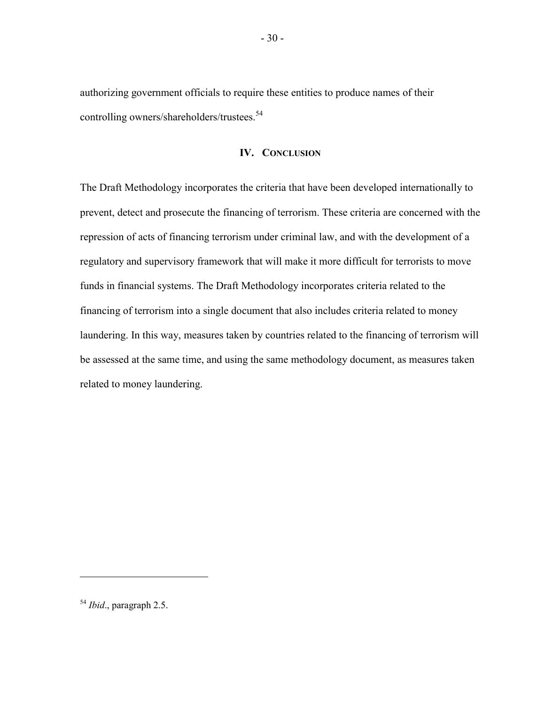authorizing government officials to require these entities to produce names of their controlling owners/shareholders/trustees.<sup>54</sup>

## **IV. CONCLUSION**

The Draft Methodology incorporates the criteria that have been developed internationally to prevent, detect and prosecute the financing of terrorism. These criteria are concerned with the repression of acts of financing terrorism under criminal law, and with the development of a regulatory and supervisory framework that will make it more difficult for terrorists to move funds in financial systems. The Draft Methodology incorporates criteria related to the financing of terrorism into a single document that also includes criteria related to money laundering. In this way, measures taken by countries related to the financing of terrorism will be assessed at the same time, and using the same methodology document, as measures taken related to money laundering.

<sup>54</sup> *Ibid*., paragraph 2.5.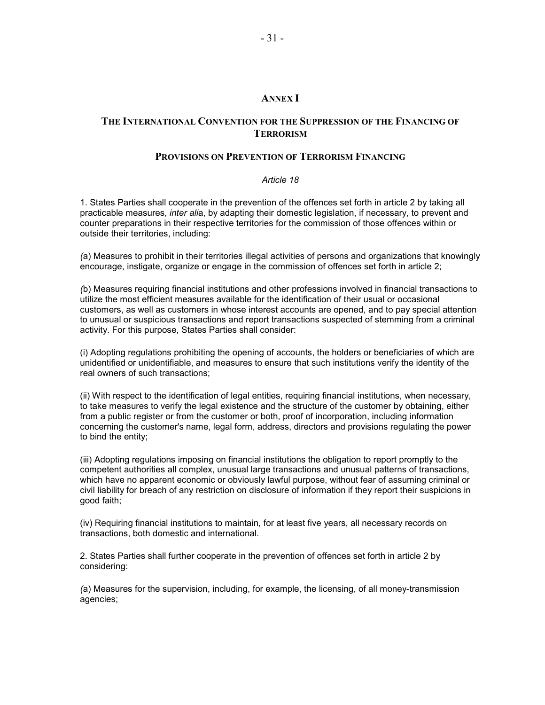## **ANNEX I**

#### **THE INTERNATIONAL CONVENTION FOR THE SUPPRESSION OF THE FINANCING OF TERRORISM**

## **PROVISIONS ON PREVENTION OF TERRORISM FINANCING**

#### *Article 18*

1. States Parties shall cooperate in the prevention of the offences set forth in article 2 by taking all practicable measures, *inter ali*a, by adapting their domestic legislation, if necessary, to prevent and counter preparations in their respective territories for the commission of those offences within or outside their territories, including:

*(*a) Measures to prohibit in their territories illegal activities of persons and organizations that knowingly encourage, instigate, organize or engage in the commission of offences set forth in article 2;

*(*b) Measures requiring financial institutions and other professions involved in financial transactions to utilize the most efficient measures available for the identification of their usual or occasional customers, as well as customers in whose interest accounts are opened, and to pay special attention to unusual or suspicious transactions and report transactions suspected of stemming from a criminal activity. For this purpose, States Parties shall consider:

(i) Adopting regulations prohibiting the opening of accounts, the holders or beneficiaries of which are unidentified or unidentifiable, and measures to ensure that such institutions verify the identity of the real owners of such transactions;

(ii) With respect to the identification of legal entities, requiring financial institutions, when necessary, to take measures to verify the legal existence and the structure of the customer by obtaining, either from a public register or from the customer or both, proof of incorporation, including information concerning the customer's name, legal form, address, directors and provisions regulating the power to bind the entity;

(iii) Adopting regulations imposing on financial institutions the obligation to report promptly to the competent authorities all complex, unusual large transactions and unusual patterns of transactions, which have no apparent economic or obviously lawful purpose, without fear of assuming criminal or civil liability for breach of any restriction on disclosure of information if they report their suspicions in good faith;

(iv) Requiring financial institutions to maintain, for at least five years, all necessary records on transactions, both domestic and international.

2. States Parties shall further cooperate in the prevention of offences set forth in article 2 by considering:

*(*a) Measures for the supervision, including, for example, the licensing, of all money-transmission agencies;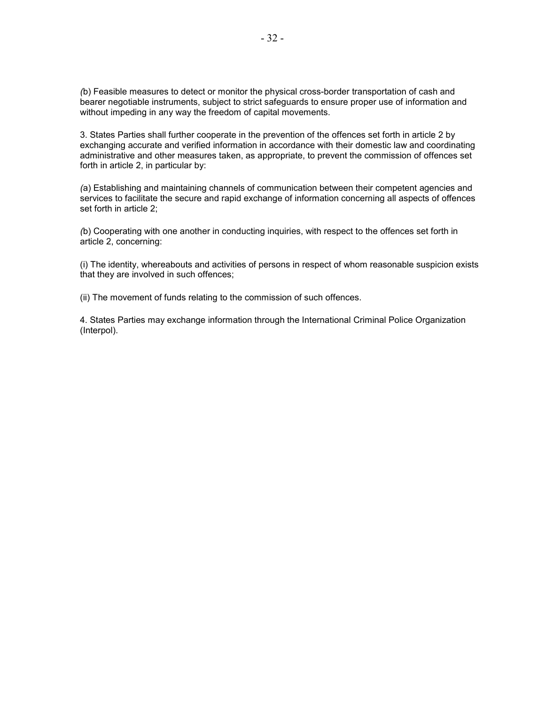*(*b) Feasible measures to detect or monitor the physical cross-border transportation of cash and bearer negotiable instruments, subject to strict safeguards to ensure proper use of information and without impeding in any way the freedom of capital movements.

3. States Parties shall further cooperate in the prevention of the offences set forth in article 2 by exchanging accurate and verified information in accordance with their domestic law and coordinating administrative and other measures taken, as appropriate, to prevent the commission of offences set forth in article 2, in particular by:

*(*a) Establishing and maintaining channels of communication between their competent agencies and services to facilitate the secure and rapid exchange of information concerning all aspects of offences set forth in article 2;

*(*b) Cooperating with one another in conducting inquiries, with respect to the offences set forth in article 2, concerning:

(i) The identity, whereabouts and activities of persons in respect of whom reasonable suspicion exists that they are involved in such offences;

(ii) The movement of funds relating to the commission of such offences.

4. States Parties may exchange information through the International Criminal Police Organization (Interpol).